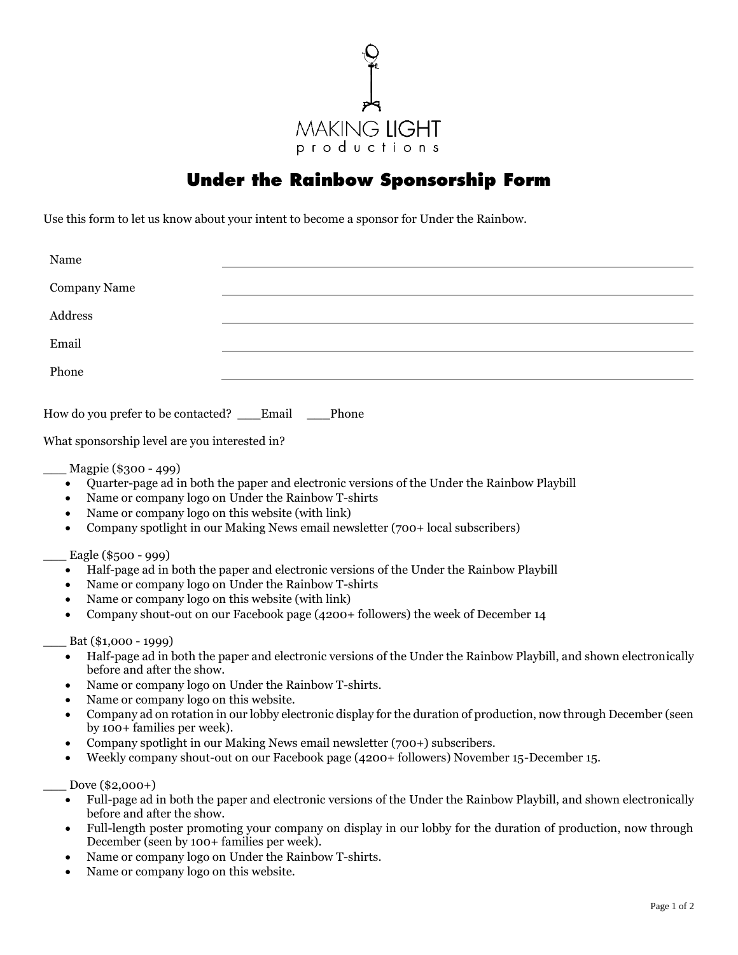

## **Under the Rainbow Sponsorship Form**

Use this form to let us know about your intent to become a sponsor for Under the Rainbow.

| Name         |  |
|--------------|--|
| Company Name |  |
| Address      |  |
| Email        |  |
| Phone        |  |
|              |  |

How do you prefer to be contacted? \_\_\_Email Phone

What sponsorship level are you interested in?

\_\_\_ Magpie (\$300 - 499)

- Quarter-page ad in both the paper and electronic versions of the Under the Rainbow Playbill
- Name or company logo on Under the Rainbow T-shirts
- Name or company logo on this website (with link)
- Company spotlight in our Making News email newsletter (700+ local subscribers)

\_\_\_ Eagle (\$500 - 999)

- Half-page ad in both the paper and electronic versions of the Under the Rainbow Playbill
- Name or company logo on Under the Rainbow T-shirts
- Name or company logo on this website (with link)
- Company shout-out on our Facebook page (4200+ followers) the week of December 14

Bat (\$1,000 - 1999)

- Half-page ad in both the paper and electronic versions of the Under the Rainbow Playbill, and shown electronically before and after the show.
- Name or company logo on Under the Rainbow T-shirts.
- Name or company logo on this website.
- Company ad on rotation in our lobby electronic display for the duration of production, now through December (seen by 100+ families per week).
- Company spotlight in our Making News email newsletter (700+) subscribers.
- Weekly company shout-out on our Facebook page (4200+ followers) November 15-December 15.

Dove (\$2,000+)

- Full-page ad in both the paper and electronic versions of the Under the Rainbow Playbill, and shown electronically before and after the show.
- Full-length poster promoting your company on display in our lobby for the duration of production, now through December (seen by 100+ families per week).
- Name or company logo on Under the Rainbow T-shirts.
- Name or company logo on this website.